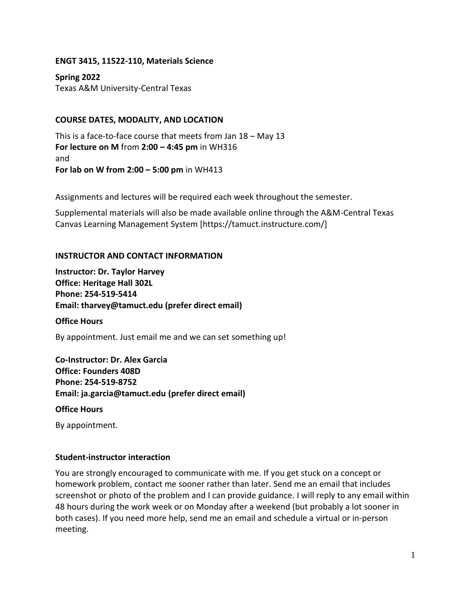#### **ENGT 3415, 11522-110, Materials Science**

**Spring 2022** Texas A&M University-Central Texas

### **COURSE DATES, MODALITY, AND LOCATION**

This is a face-to-face course that meets from Jan 18 – May 13 **For lecture on M** from **2:00 – 4:45 pm** in WH316 and **For lab on W from 2:00 – 5:00 pm** in WH413

Assignments and lectures will be required each week throughout the semester.

Supplemental materials will also be made available online through the A&M-Central Texas Canvas Learning Management System [https://tamuct.instructure.com/]

#### **INSTRUCTOR AND CONTACT INFORMATION**

**Instructor: Dr. Taylor Harvey Office: Heritage Hall 302L Phone: 254-519-5414 Email: tharvey@tamuct.edu (prefer direct email)**

**Office Hours**

By appointment. Just email me and we can set something up!

**Co-Instructor: Dr. Alex Garcia Office: Founders 408D Phone: 254-519-8752 Email: ja.garcia@tamuct.edu (prefer direct email)**

**Office Hours**

By appointment.

#### **Student-instructor interaction**

You are strongly encouraged to communicate with me. If you get stuck on a concept or homework problem, contact me sooner rather than later. Send me an email that includes screenshot or photo of the problem and I can provide guidance. I will reply to any email within 48 hours during the work week or on Monday after a weekend (but probably a lot sooner in both cases). If you need more help, send me an email and schedule a virtual or in-person meeting.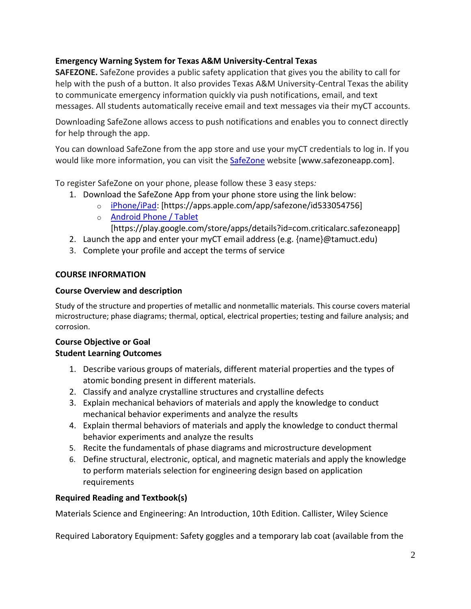# **Emergency Warning System for Texas A&M University-Central Texas**

**SAFEZONE.** SafeZone provides a public safety application that gives you the ability to call for help with the push of a button. It also provides Texas A&M University-Central Texas the ability to communicate emergency information quickly via push notifications, email, and text messages. All students automatically receive email and text messages via their myCT accounts.

Downloading SafeZone allows access to push notifications and enables you to connect directly for help through the app.

You can download SafeZone from the app store and use your myCT credentials to log in. If you would like more information, you can visit the **[SafeZone](http://www.safezoneapp.com/)** website [www.safezoneapp.com].

To register SafeZone on your phone, please follow these 3 easy steps*:*

- 1. Download the SafeZone App from your phone store using the link below:
	- o [iPhone/iPad:](https://apps.apple.com/app/safezone/id533054756) [https://apps.apple.com/app/safezone/id533054756]
	- o [Android Phone / Tablet](https://play.google.com/store/apps/details?id=com.criticalarc.safezoneapp)

[https://play.google.com/store/apps/details?id=com.criticalarc.safezoneapp]

- 2. Launch the app and enter your myCT email address (e.g. {name}@tamuct.edu)
- 3. Complete your profile and accept the terms of service

# **COURSE INFORMATION**

## **Course Overview and description**

Study of the structure and properties of metallic and nonmetallic materials. This course covers material microstructure; phase diagrams; thermal, optical, electrical properties; testing and failure analysis; and corrosion.

# **Course Objective or Goal Student Learning Outcomes**

- 1. Describe various groups of materials, different material properties and the types of atomic bonding present in different materials.
- 2. Classify and analyze crystalline structures and crystalline defects
- 3. Explain mechanical behaviors of materials and apply the knowledge to conduct mechanical behavior experiments and analyze the results
- 4. Explain thermal behaviors of materials and apply the knowledge to conduct thermal behavior experiments and analyze the results
- 5. Recite the fundamentals of phase diagrams and microstructure development
- 6. Define structural, electronic, optical, and magnetic materials and apply the knowledge to perform materials selection for engineering design based on application requirements

# **Required Reading and Textbook(s)**

Materials Science and Engineering: An Introduction, 10th Edition. Callister, Wiley Science

Required Laboratory Equipment: Safety goggles and a temporary lab coat (available from the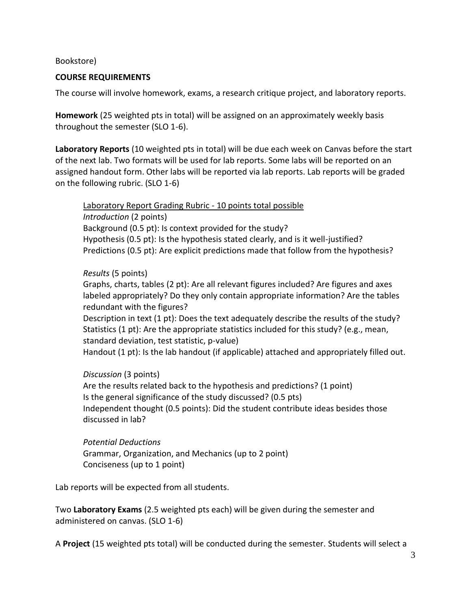#### Bookstore)

#### **COURSE REQUIREMENTS**

The course will involve homework, exams, a research critique project, and laboratory reports.

**Homework** (25 weighted pts in total) will be assigned on an approximately weekly basis throughout the semester (SLO 1-6).

**Laboratory Reports** (10 weighted pts in total) will be due each week on Canvas before the start of the next lab. Two formats will be used for lab reports. Some labs will be reported on an assigned handout form. Other labs will be reported via lab reports. Lab reports will be graded on the following rubric. (SLO 1-6)

Laboratory Report Grading Rubric - 10 points total possible *Introduction* (2 points) Background (0.5 pt): Is context provided for the study? Hypothesis (0.5 pt): Is the hypothesis stated clearly, and is it well-justified? Predictions (0.5 pt): Are explicit predictions made that follow from the hypothesis?

#### *Results* (5 points)

Graphs, charts, tables (2 pt): Are all relevant figures included? Are figures and axes labeled appropriately? Do they only contain appropriate information? Are the tables redundant with the figures?

Description in text (1 pt): Does the text adequately describe the results of the study? Statistics (1 pt): Are the appropriate statistics included for this study? (e.g., mean, standard deviation, test statistic, p-value)

Handout (1 pt): Is the lab handout (if applicable) attached and appropriately filled out.

#### *Discussion* (3 points)

Are the results related back to the hypothesis and predictions? (1 point) Is the general significance of the study discussed? (0.5 pts) Independent thought (0.5 points): Did the student contribute ideas besides those discussed in lab?

*Potential Deductions* Grammar, Organization, and Mechanics (up to 2 point) Conciseness (up to 1 point)

Lab reports will be expected from all students.

Two **Laboratory Exams** (2.5 weighted pts each) will be given during the semester and administered on canvas. (SLO 1-6)

A **Project** (15 weighted pts total) will be conducted during the semester. Students will select a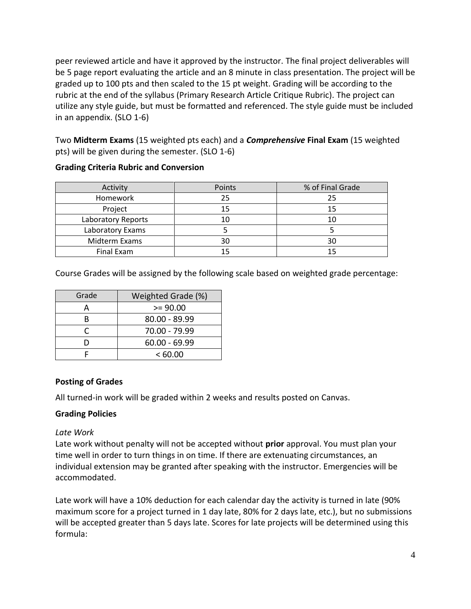peer reviewed article and have it approved by the instructor. The final project deliverables will be 5 page report evaluating the article and an 8 minute in class presentation. The project will be graded up to 100 pts and then scaled to the 15 pt weight. Grading will be according to the rubric at the end of the syllabus (Primary Research Article Critique Rubric). The project can utilize any style guide, but must be formatted and referenced. The style guide must be included in an appendix. (SLO 1-6)

Two **Midterm Exams** (15 weighted pts each) and a *Comprehensive* **Final Exam** (15 weighted pts) will be given during the semester. (SLO 1-6)

| Activity           | Points | % of Final Grade |
|--------------------|--------|------------------|
| Homework           | 25     | 25               |
| Project            | 15     | 15               |
| Laboratory Reports | 10     | 10               |
| Laboratory Exams   |        |                  |
| Midterm Exams      | 30     | 30               |
| Final Exam         |        |                  |

# **Grading Criteria Rubric and Conversion**

Course Grades will be assigned by the following scale based on weighted grade percentage:

| Grade | Weighted Grade (%) |
|-------|--------------------|
|       | $>= 90.00$         |
| R     | 80.00 - 89.99      |
| r     | 70.00 - 79.99      |
|       | $60.00 - 69.99$    |
|       | <60.00             |

# **Posting of Grades**

All turned-in work will be graded within 2 weeks and results posted on Canvas.

#### **Grading Policies**

#### *Late Work*

Late work without penalty will not be accepted without **prior** approval. You must plan your time well in order to turn things in on time. If there are extenuating circumstances, an individual extension may be granted after speaking with the instructor. Emergencies will be accommodated.

Late work will have a 10% deduction for each calendar day the activity is turned in late (90% maximum score for a project turned in 1 day late, 80% for 2 days late, etc.), but no submissions will be accepted greater than 5 days late. Scores for late projects will be determined using this formula: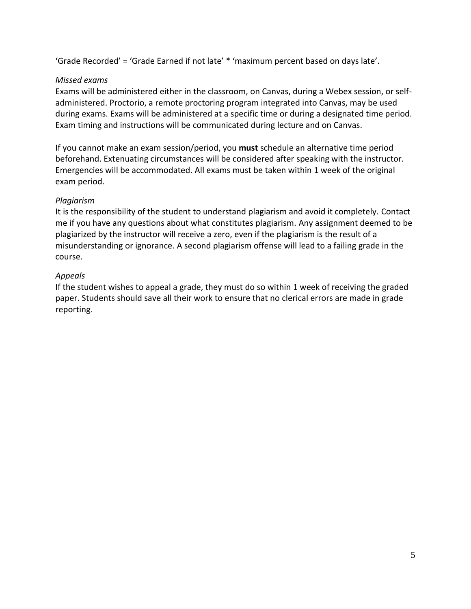'Grade Recorded' = 'Grade Earned if not late' \* 'maximum percent based on days late'.

## *Missed exams*

Exams will be administered either in the classroom, on Canvas, during a Webex session, or selfadministered. Proctorio, a remote proctoring program integrated into Canvas, may be used during exams. Exams will be administered at a specific time or during a designated time period. Exam timing and instructions will be communicated during lecture and on Canvas.

If you cannot make an exam session/period, you **must** schedule an alternative time period beforehand. Extenuating circumstances will be considered after speaking with the instructor. Emergencies will be accommodated. All exams must be taken within 1 week of the original exam period.

## *Plagiarism*

It is the responsibility of the student to understand plagiarism and avoid it completely. Contact me if you have any questions about what constitutes plagiarism. Any assignment deemed to be plagiarized by the instructor will receive a zero, even if the plagiarism is the result of a misunderstanding or ignorance. A second plagiarism offense will lead to a failing grade in the course.

# *Appeals*

If the student wishes to appeal a grade, they must do so within 1 week of receiving the graded paper. Students should save all their work to ensure that no clerical errors are made in grade reporting.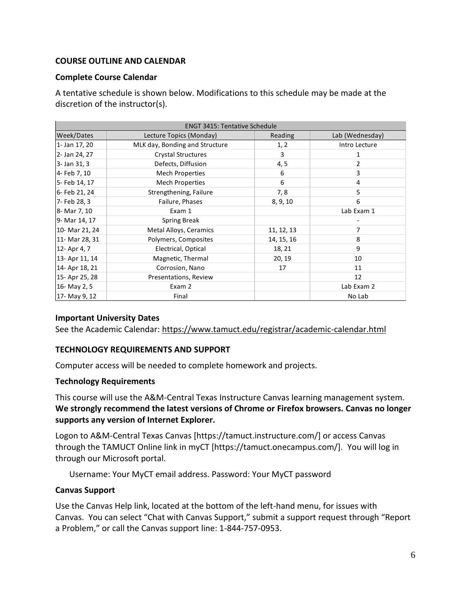## **COURSE OUTLINE AND CALENDAR**

#### **Complete Course Calendar**

A tentative schedule is shown below. Modifications to this schedule may be made at the discretion of the instructor(s).

| <b>ENGT 3415: Tentative Schedule</b> |                                |            |                 |  |
|--------------------------------------|--------------------------------|------------|-----------------|--|
| Week/Dates                           | Lecture Topics (Monday)        | Reading    | Lab (Wednesday) |  |
| 1- Jan 17, 20                        | MLK day, Bonding and Structure | 1, 2       | Intro Lecture   |  |
| 2- Jan 24, 27                        | <b>Crystal Structures</b>      | 3          | 1               |  |
| 3- Jan 31, 3                         | Defects, Diffusion             | 4, 5       | 2               |  |
| 4- Feb 7, 10                         | Mech Properties                | 6          | 3               |  |
| 5- Feb 14, 17                        | <b>Mech Properties</b>         | 6          | 4               |  |
| 6- Feb 21, 24                        | Strengthening, Failure         | 7,8        | 5               |  |
| 7- Feb 28, 3                         | Failure, Phases                | 8, 9, 10   | 6               |  |
| 8- Mar 7, 10                         | Exam 1                         |            | Lab Exam 1      |  |
| 9- Mar 14, 17                        | <b>Spring Break</b>            |            |                 |  |
| 10- Mar 21, 24                       | Metal Alloys, Ceramics         | 11, 12, 13 | 7               |  |
| 11- Mar 28, 31                       | Polymers, Composites           | 14, 15, 16 | 8               |  |
| 12- Apr 4, 7                         | Electrical, Optical            | 18, 21     | 9               |  |
| 13- Apr 11, 14                       | Magnetic, Thermal              | 20, 19     | 10              |  |
| 14- Apr 18, 21                       | Corrosion, Nano                | 17         | 11              |  |
| 15- Apr 25, 28                       | Presentations, Review          |            | 12              |  |
| 16- May 2, 5                         | Exam 2                         |            | Lab Exam 2      |  |
| 17- May 9, 12                        | Final                          |            | No Lab          |  |

#### **Important University Dates**

See the Academic Calendar:<https://www.tamuct.edu/registrar/academic-calendar.html>

#### **TECHNOLOGY REQUIREMENTS AND SUPPORT**

Computer access will be needed to complete homework and projects.

#### **Technology Requirements**

This course will use the A&M-Central Texas Instructure Canvas learning management system. **We strongly recommend the latest versions of Chrome or Firefox browsers. Canvas no longer supports any version of Internet Explorer.**

Logon to A&M-Central Texas Canvas [https://tamuct.instructure.com/] or access Canvas through the TAMUCT Online link in myCT [https://tamuct.onecampus.com/]. You will log in through our Microsoft portal.

Username: Your MyCT email address. Password: Your MyCT password

#### **Canvas Support**

Use the Canvas Help link, located at the bottom of the left-hand menu, for issues with Canvas. You can select "Chat with Canvas Support," submit a support request through "Report a Problem," or call the Canvas support line: 1-844-757-0953.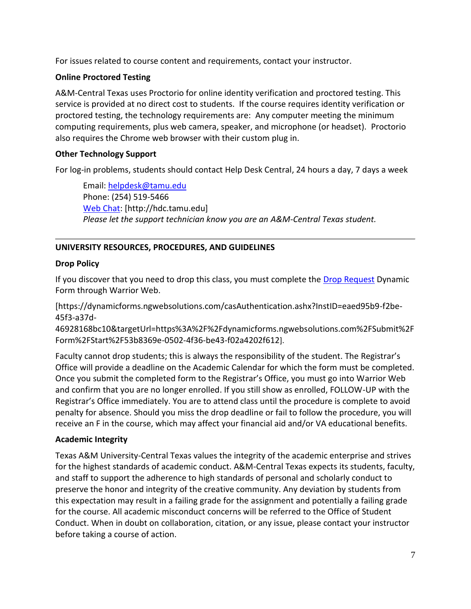For issues related to course content and requirements, contact your instructor.

## **Online Proctored Testing**

A&M-Central Texas uses Proctorio for online identity verification and proctored testing. This service is provided at no direct cost to students. If the course requires identity verification or proctored testing, the technology requirements are: Any computer meeting the minimum computing requirements, plus web camera, speaker, and microphone (or headset). Proctorio also requires the Chrome web browser with their custom plug in.

# **Other Technology Support**

For log-in problems, students should contact Help Desk Central, 24 hours a day, 7 days a week

Email: [helpdesk@tamu.edu](mailto:helpdesk@tamu.edu) Phone: (254) 519-5466 [Web Chat:](http://hdc.tamu.edu/) [http://hdc.tamu.edu] *Please let the support technician know you are an A&M-Central Texas student.*

# **UNIVERSITY RESOURCES, PROCEDURES, AND GUIDELINES**

## **Drop Policy**

If you discover that you need to drop this class, you must complete the [Drop Request](https://dynamicforms.ngwebsolutions.com/casAuthentication.ashx?InstID=eaed95b9-f2be-45f3-a37d-46928168bc10&targetUrl=https%3A%2F%2Fdynamicforms.ngwebsolutions.com%2FSubmit%2FForm%2FStart%2F53b8369e-0502-4f36-be43-f02a4202f612) Dynamic Form through Warrior Web.

[https://dynamicforms.ngwebsolutions.com/casAuthentication.ashx?InstID=eaed95b9-f2be-45f3-a37d-

46928168bc10&targetUrl=https%3A%2F%2Fdynamicforms.ngwebsolutions.com%2FSubmit%2F Form%2FStart%2F53b8369e-0502-4f36-be43-f02a4202f612].

Faculty cannot drop students; this is always the responsibility of the student. The Registrar's Office will provide a deadline on the Academic Calendar for which the form must be completed. Once you submit the completed form to the Registrar's Office, you must go into Warrior Web and confirm that you are no longer enrolled. If you still show as enrolled, FOLLOW-UP with the Registrar's Office immediately. You are to attend class until the procedure is complete to avoid penalty for absence. Should you miss the drop deadline or fail to follow the procedure, you will receive an F in the course, which may affect your financial aid and/or VA educational benefits.

# **Academic Integrity**

Texas A&M University-Central Texas values the integrity of the academic enterprise and strives for the highest standards of academic conduct. A&M-Central Texas expects its students, faculty, and staff to support the adherence to high standards of personal and scholarly conduct to preserve the honor and integrity of the creative community. Any deviation by students from this expectation may result in a failing grade for the assignment and potentially a failing grade for the course. All academic misconduct concerns will be referred to the Office of Student Conduct. When in doubt on collaboration, citation, or any issue, please contact your instructor before taking a course of action.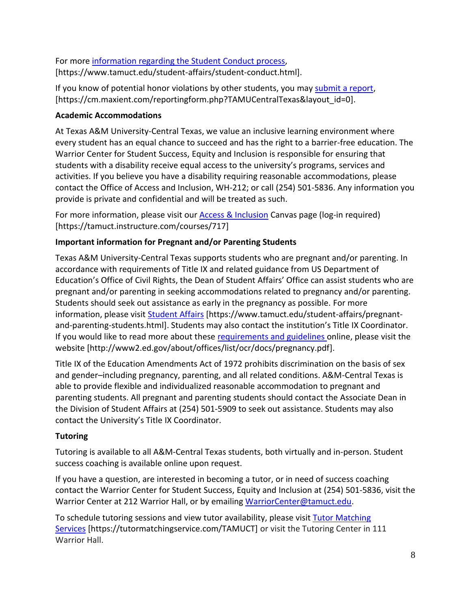For more [information](https://nam04.safelinks.protection.outlook.com/?url=https%3A%2F%2Fwww.tamuct.edu%2Fstudent-affairs%2Fstudent-conduct.html&data=04%7C01%7Clisa.bunkowski%40tamuct.edu%7Ccfb6e486f24745f53e1a08d910055cb2%7C9eed4e3000f744849ff193ad8005acec%7C0%7C0%7C637558437485252160%7CUnknown%7CTWFpbGZsb3d8eyJWIjoiMC4wLjAwMDAiLCJQIjoiV2luMzIiLCJBTiI6Ik1haWwiLCJXVCI6Mn0%3D%7C1000&sdata=yjftDEVHvLX%2FhM%2FcFU0B99krV1RgEWR%2BJ%2BhvtoR6TYk%3D&reserved=0) regarding the Student Conduct process, [https://www.tamuct.edu/student-affairs/student-conduct.html].

If you know of potential honor violations by other students, you may [submit](https://nam04.safelinks.protection.outlook.com/?url=https%3A%2F%2Fcm.maxient.com%2Freportingform.php%3FTAMUCentralTexas%26layout_id%3D0&data=04%7C01%7Clisa.bunkowski%40tamuct.edu%7Ccfb6e486f24745f53e1a08d910055cb2%7C9eed4e3000f744849ff193ad8005acec%7C0%7C0%7C637558437485262157%7CUnknown%7CTWFpbGZsb3d8eyJWIjoiMC4wLjAwMDAiLCJQIjoiV2luMzIiLCJBTiI6Ik1haWwiLCJXVCI6Mn0%3D%7C1000&sdata=CXGkOa6uPDPX1IMZ87z3aZDq2n91xfHKu4MMS43Ejjk%3D&reserved=0) a report, [https://cm.maxient.com/reportingform.php?TAMUCentralTexas&layout\_id=0].

# **Academic Accommodations**

At Texas A&M University-Central Texas, we value an inclusive learning environment where every student has an equal chance to succeed and has the right to a barrier-free education. The Warrior Center for Student Success, Equity and Inclusion is responsible for ensuring that students with a disability receive equal access to the university's programs, services and activities. If you believe you have a disability requiring reasonable accommodations, please contact the Office of Access and Inclusion, WH-212; or call (254) 501-5836. Any information you provide is private and confidential and will be treated as such.

For more information, please visit our **Access & Inclusion** Canvas page (log-in required) [https://tamuct.instructure.com/courses/717]

# **Important information for Pregnant and/or Parenting Students**

Texas A&M University-Central Texas supports students who are pregnant and/or parenting. In accordance with requirements of Title IX and related guidance from US Department of Education's Office of Civil Rights, the Dean of Student Affairs' Office can assist students who are pregnant and/or parenting in seeking accommodations related to pregnancy and/or parenting. Students should seek out assistance as early in the pregnancy as possible. For more information, please visit [Student Affairs](https://www.tamuct.edu/student-affairs/pregnant-and-parenting-students.html) [https://www.tamuct.edu/student-affairs/pregnantand-parenting-students.html]. Students may also contact the institution's Title IX Coordinator. If you would like to read more about these [requirements and guidelines](http://www2.ed.gov/about/offices/list/ocr/docs/pregnancy.pdf) online, please visit the website [http://www2.ed.gov/about/offices/list/ocr/docs/pregnancy.pdf].

Title IX of the Education Amendments Act of 1972 prohibits discrimination on the basis of sex and gender–including pregnancy, parenting, and all related conditions. A&M-Central Texas is able to provide flexible and individualized reasonable accommodation to pregnant and parenting students. All pregnant and parenting students should contact the Associate Dean in the Division of Student Affairs at (254) 501-5909 to seek out assistance. Students may also contact the University's Title IX Coordinator.

# **Tutoring**

Tutoring is available to all A&M-Central Texas students, both virtually and in-person. Student success coaching is available online upon request.

If you have a question, are interested in becoming a tutor, or in need of success coaching contact the Warrior Center for Student Success, Equity and Inclusion at (254) 501-5836, visit the Warrior Center at 212 Warrior Hall, or by emailing [WarriorCenter@tamuct.edu.](mailto:WarriorCenter@tamuct.edu)

To schedule tutoring sessions and view tutor availability, please visit **Tutor [Matching](https://tutormatchingservice.com/TAMUCT)** [Services](https://tutormatchingservice.com/TAMUCT) [https://tutormatchingservice.com/TAMUCT] or visit the Tutoring Center in 111 Warrior Hall.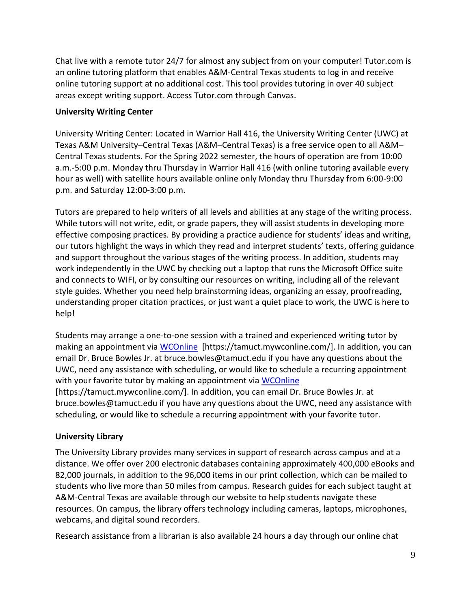Chat live with a remote tutor 24/7 for almost any subject from on your computer! Tutor.com is an online tutoring platform that enables A&M-Central Texas students to log in and receive online tutoring support at no additional cost. This tool provides tutoring in over 40 subject areas except writing support. Access Tutor.com through Canvas.

# **University Writing Center**

University Writing Center: Located in Warrior Hall 416, the University Writing Center (UWC) at Texas A&M University–Central Texas (A&M–Central Texas) is a free service open to all A&M– Central Texas students. For the Spring 2022 semester, the hours of operation are from 10:00 a.m.-5:00 p.m. Monday thru Thursday in Warrior Hall 416 (with online tutoring available every hour as well) with satellite hours available online only Monday thru Thursday from 6:00-9:00 p.m. and Saturday 12:00-3:00 p.m.

Tutors are prepared to help writers of all levels and abilities at any stage of the writing process. While tutors will not write, edit, or grade papers, they will assist students in developing more effective composing practices. By providing a practice audience for students' ideas and writing, our tutors highlight the ways in which they read and interpret students' texts, offering guidance and support throughout the various stages of the writing process. In addition, students may work independently in the UWC by checking out a laptop that runs the Microsoft Office suite and connects to WIFI, or by consulting our resources on writing, including all of the relevant style guides. Whether you need help brainstorming ideas, organizing an essay, proofreading, understanding proper citation practices, or just want a quiet place to work, the UWC is here to help!

Students may arrange a one-to-one session with a trained and experienced writing tutor by making an appointment via [WCOnline](https://tamuct.mywconline.com/) [https://tamuct.mywconline.com/]. In addition, you can email Dr. Bruce Bowles Jr. at bruce.bowles@tamuct.edu if you have any questions about the UWC, need any assistance with scheduling, or would like to schedule a recurring appointment with your favorite tutor by making an appointment via [WCOnline](https://tamuct.mywconline.com/) [https://tamuct.mywconline.com/]. In addition, you can email Dr. Bruce Bowles Jr. at bruce.bowles@tamuct.edu if you have any questions about the UWC, need any assistance with scheduling, or would like to schedule a recurring appointment with your favorite tutor.

# **University Library**

The University Library provides many services in support of research across campus and at a distance. We offer over 200 electronic databases containing approximately 400,000 eBooks and 82,000 journals, in addition to the 96,000 items in our print collection, which can be mailed to students who live more than 50 miles from campus. Research guides for each subject taught at A&M-Central Texas are available through our website to help students navigate these resources. On campus, the library offers technology including cameras, laptops, microphones, webcams, and digital sound recorders.

Research assistance from a librarian is also available 24 hours a day through our online chat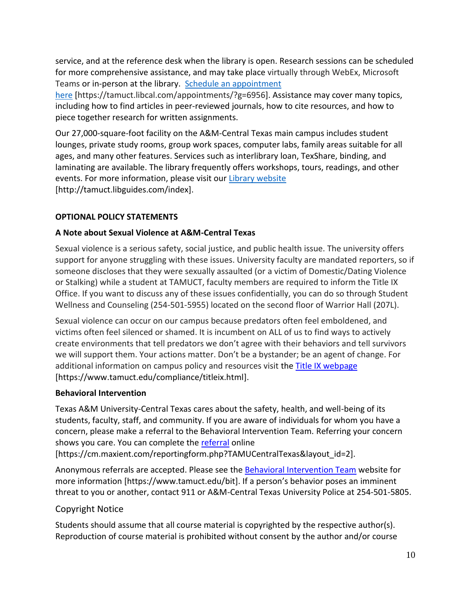service, and at the reference desk when the library is open. Research sessions can be scheduled for more comprehensive assistance, and may take place virtually through WebEx, Microsoft Teams or in-person at the library. Schedule an [appointment](https://nam04.safelinks.protection.outlook.com/?url=https%3A%2F%2Ftamuct.libcal.com%2Fappointments%2F%3Fg%3D6956&data=04%7C01%7Clisa.bunkowski%40tamuct.edu%7Cde2c07d9f5804f09518008d9ab7ba6ff%7C9eed4e3000f744849ff193ad8005acec%7C0%7C0%7C637729369835011558%7CUnknown%7CTWFpbGZsb3d8eyJWIjoiMC4wLjAwMDAiLCJQIjoiV2luMzIiLCJBTiI6Ik1haWwiLCJXVCI6Mn0%3D%7C3000&sdata=KhtjgRSAw9aq%2FoBsB6wyu8b7PSuGN5EGPypzr3Ty2No%3D&reserved=0)

[here](https://nam04.safelinks.protection.outlook.com/?url=https%3A%2F%2Ftamuct.libcal.com%2Fappointments%2F%3Fg%3D6956&data=04%7C01%7Clisa.bunkowski%40tamuct.edu%7Cde2c07d9f5804f09518008d9ab7ba6ff%7C9eed4e3000f744849ff193ad8005acec%7C0%7C0%7C637729369835011558%7CUnknown%7CTWFpbGZsb3d8eyJWIjoiMC4wLjAwMDAiLCJQIjoiV2luMzIiLCJBTiI6Ik1haWwiLCJXVCI6Mn0%3D%7C3000&sdata=KhtjgRSAw9aq%2FoBsB6wyu8b7PSuGN5EGPypzr3Ty2No%3D&reserved=0) [https://tamuct.libcal.com/appointments/?g=6956]. Assistance may cover many topics, including how to find articles in peer-reviewed journals, how to cite resources, and how to piece together research for written assignments.

Our 27,000-square-foot facility on the A&M-Central Texas main campus includes student lounges, private study rooms, group work spaces, computer labs, family areas suitable for all ages, and many other features. Services such as interlibrary loan, TexShare, binding, and laminating are available. The library frequently offers workshops, tours, readings, and other events. For more information, please visit our Library [website](https://nam04.safelinks.protection.outlook.com/?url=https%3A%2F%2Ftamuct.libguides.com%2Findex&data=04%7C01%7Clisa.bunkowski%40tamuct.edu%7C7d8489e8839a4915335f08d916f067f2%7C9eed4e3000f744849ff193ad8005acec%7C0%7C0%7C637566044056484222%7CUnknown%7CTWFpbGZsb3d8eyJWIjoiMC4wLjAwMDAiLCJQIjoiV2luMzIiLCJBTiI6Ik1haWwiLCJXVCI6Mn0%3D%7C1000&sdata=2R755V6rcIyedGrd4Os5rkgn1PvhHKU3kUV1vBKiHFo%3D&reserved=0) [http://tamuct.libguides.com/index].

# **OPTIONAL POLICY STATEMENTS**

# **A Note about Sexual Violence at A&M-Central Texas**

Sexual violence is a serious safety, social justice, and public health issue. The university offers support for anyone struggling with these issues. University faculty are mandated reporters, so if someone discloses that they were sexually assaulted (or a victim of Domestic/Dating Violence or Stalking) while a student at TAMUCT, faculty members are required to inform the Title IX Office. If you want to discuss any of these issues confidentially, you can do so through Student Wellness and Counseling (254-501-5955) located on the second floor of Warrior Hall (207L).

Sexual violence can occur on our campus because predators often feel emboldened, and victims often feel silenced or shamed. It is incumbent on ALL of us to find ways to actively create environments that tell predators we don't agree with their behaviors and tell survivors we will support them. Your actions matter. Don't be a bystander; be an agent of change. For additional information on campus policy and resources visit the [Title IX webpage](https://www.tamuct.edu/compliance/titleix.html) [\[https://www.tamuct.edu/compliance/titleix.html\]](https://www.tamuct.edu/compliance/titleix.html).

# **Behavioral Intervention**

Texas A&M University-Central Texas cares about the safety, health, and well-being of its students, faculty, staff, and community. If you are aware of individuals for whom you have a concern, please make a referral to the Behavioral Intervention Team. Referring your concern shows you care. You can complete the [referral](https://cm.maxient.com/reportingform.php?TAMUCentralTexas&layout_id=2) online

[https://cm.maxient.com/reportingform.php?TAMUCentralTexas&layout\_id=2].

Anonymous referrals are accepted. Please see the [Behavioral Intervention Team](https://www.tamuct.edu/bit) website for more information [https://www.tamuct.edu/bit]. If a person's behavior poses an imminent threat to you or another, contact 911 or A&M-Central Texas University Police at 254-501-5805.

# Copyright Notice

Students should assume that all course material is copyrighted by the respective author(s). Reproduction of course material is prohibited without consent by the author and/or course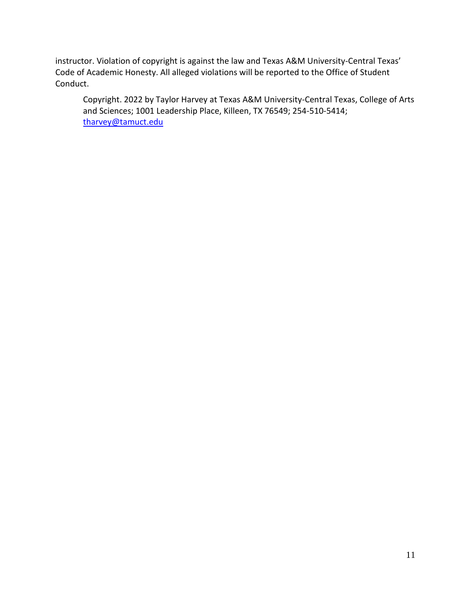instructor. Violation of copyright is against the law and Texas A&M University-Central Texas' Code of Academic Honesty. All alleged violations will be reported to the Office of Student Conduct.

Copyright. 2022 by Taylor Harvey at Texas A&M University-Central Texas, College of Arts and Sciences; 1001 Leadership Place, Killeen, TX 76549; 254-510-5414; [tharvey@tamuct.edu](mailto:tharvey@tamuct.edu)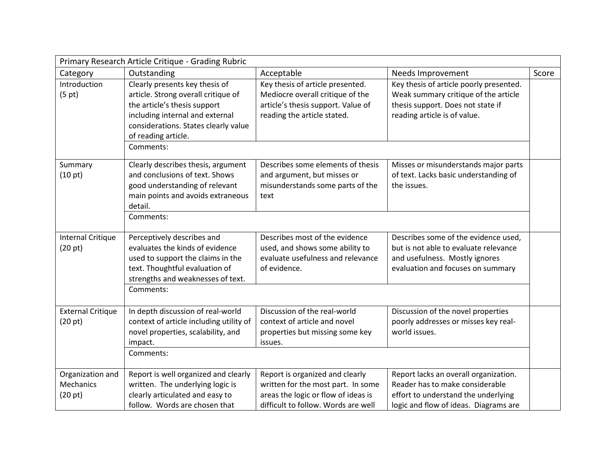|                                                 | Primary Research Article Critique - Grading Rubric                                                                                                                                                                   |                                                                                                                                                     |                                                                                                                                                          |       |
|-------------------------------------------------|----------------------------------------------------------------------------------------------------------------------------------------------------------------------------------------------------------------------|-----------------------------------------------------------------------------------------------------------------------------------------------------|----------------------------------------------------------------------------------------------------------------------------------------------------------|-------|
| Category                                        | Outstanding                                                                                                                                                                                                          | Acceptable                                                                                                                                          | Needs Improvement                                                                                                                                        | Score |
| Introduction<br>(5 pt)                          | Clearly presents key thesis of<br>article. Strong overall critique of<br>the article's thesis support<br>including internal and external<br>considerations. States clearly value<br>of reading article.<br>Comments: | Key thesis of article presented.<br>Mediocre overall critique of the<br>article's thesis support. Value of<br>reading the article stated.           | Key thesis of article poorly presented.<br>Weak summary critique of the article<br>thesis support. Does not state if<br>reading article is of value.     |       |
| Summary<br>(10 pt)                              | Clearly describes thesis, argument<br>and conclusions of text. Shows<br>good understanding of relevant<br>main points and avoids extraneous<br>detail.<br>Comments:                                                  | Describes some elements of thesis<br>and argument, but misses or<br>misunderstands some parts of the<br>text                                        | Misses or misunderstands major parts<br>of text. Lacks basic understanding of<br>the issues.                                                             |       |
| <b>Internal Critique</b><br>(20 pt)             | Perceptively describes and<br>evaluates the kinds of evidence<br>used to support the claims in the<br>text. Thoughtful evaluation of<br>strengths and weaknesses of text.<br>Comments:                               | Describes most of the evidence<br>used, and shows some ability to<br>evaluate usefulness and relevance<br>of evidence.                              | Describes some of the evidence used,<br>but is not able to evaluate relevance<br>and usefulness. Mostly ignores<br>evaluation and focuses on summary     |       |
| <b>External Critique</b><br>(20 pt)             | In depth discussion of real-world<br>context of article including utility of<br>novel properties, scalability, and<br>impact.<br>Comments:                                                                           | Discussion of the real-world<br>context of article and novel<br>properties but missing some key<br>issues.                                          | Discussion of the novel properties<br>poorly addresses or misses key real-<br>world issues.                                                              |       |
| Organization and<br><b>Mechanics</b><br>(20 pt) | Report is well organized and clearly<br>written. The underlying logic is<br>clearly articulated and easy to<br>follow. Words are chosen that                                                                         | Report is organized and clearly<br>written for the most part. In some<br>areas the logic or flow of ideas is<br>difficult to follow. Words are well | Report lacks an overall organization.<br>Reader has to make considerable<br>effort to understand the underlying<br>logic and flow of ideas. Diagrams are |       |